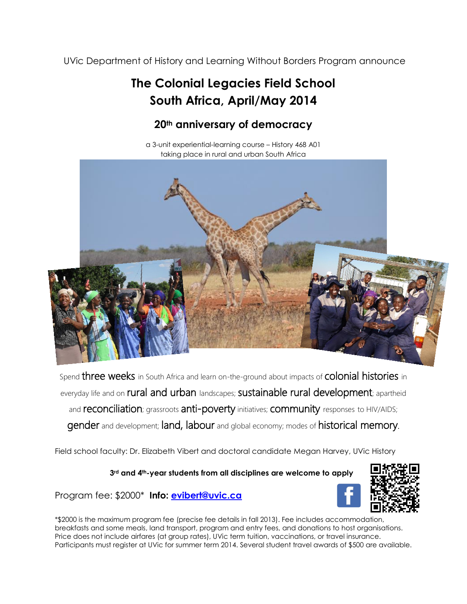UVic Department of History and Learning Without Borders Program announce

## **The Colonial Legacies Field School South Africa, April/May 2014**

## **20th anniversary of democracy**

a 3-unit experiential-learning course – History 468 A01 taking place in rural and urban South Africa



Spend three weeks in South Africa and learn on-the-ground about impacts of colonial histories in everyday life and on rural and urban landscapes; sustainable rural development; apartheid and reconciliation; grassroots anti-poverty initiatives; community responses to HIV/AIDS; gender and development; land, labour and global economy; modes of historical memory.

Field school faculty: Dr. Elizabeth Vibert and doctoral candidate Megan Harvey, UVic History

**3rd and 4th-year students from all disciplines are welcome to apply**



Program fee: \$2000\* **Info: [evibert@uvic.ca](mailto:evibert@uvic.ca)**

\*\$2000 is the maximum program fee (precise fee details in fall 2013). Fee includes accommodation, breakfasts and some meals, land transport, program and entry fees, and donations to host organisations. Price does not include airfares (at group rates), UVic term tuition, vaccinations, or travel insurance. Participants must register at UVic for summer term 2014. Several student travel awards of \$500 are available.